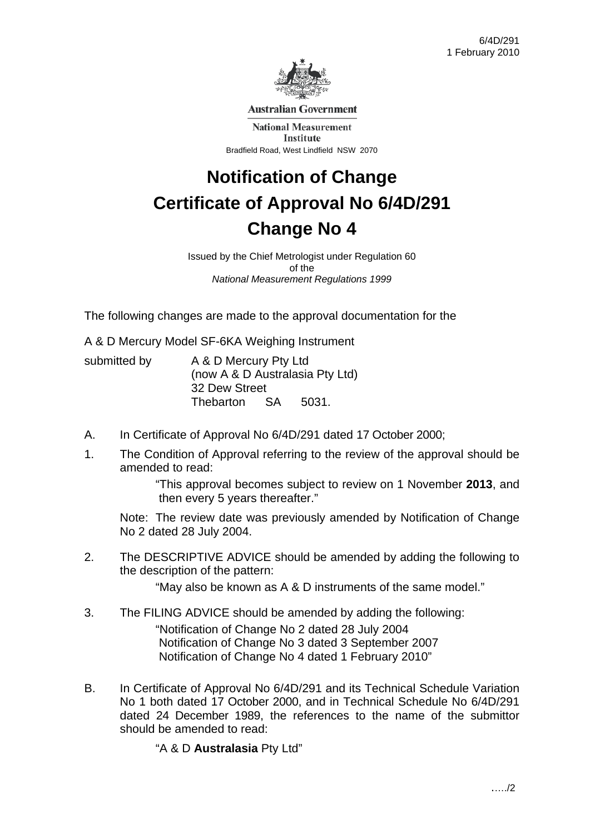

**Australian Government** 

**National Measurement** Institute Bradfield Road, West Lindfield NSW 2070

# **Notification of Change Certificate of Approval No 6/4D/291 Change No 4**

Issued by the Chief Metrologist under Regulation 60 of the *National Measurement Regulations 1999* 

The following changes are made to the approval documentation for the

A & D Mercury Model SF-6KA Weighing Instrument

submitted by A & D Mercury Pty Ltd (now A & D Australasia Pty Ltd) 32 Dew Street Thebarton SA 5031.

- A. In Certificate of Approval No 6/4D/291 dated 17 October 2000;
- 1. The Condition of Approval referring to the review of the approval should be amended to read:

 "This approval becomes subject to review on 1 November **2013**, and then every 5 years thereafter."

 Note: The review date was previously amended by Notification of Change No 2 dated 28 July 2004.

2. The DESCRIPTIVE ADVICE should be amended by adding the following to the description of the pattern:

"May also be known as A & D instruments of the same model."

- 3. The FILING ADVICE should be amended by adding the following: "Notification of Change No 2 dated 28 July 2004 Notification of Change No 3 dated 3 September 2007 Notification of Change No 4 dated 1 February 2010"
- B. In Certificate of Approval No 6/4D/291 and its Technical Schedule Variation No 1 both dated 17 October 2000, and in Technical Schedule No 6/4D/291 dated 24 December 1989, the references to the name of the submittor should be amended to read:

"A & D **Australasia** Pty Ltd"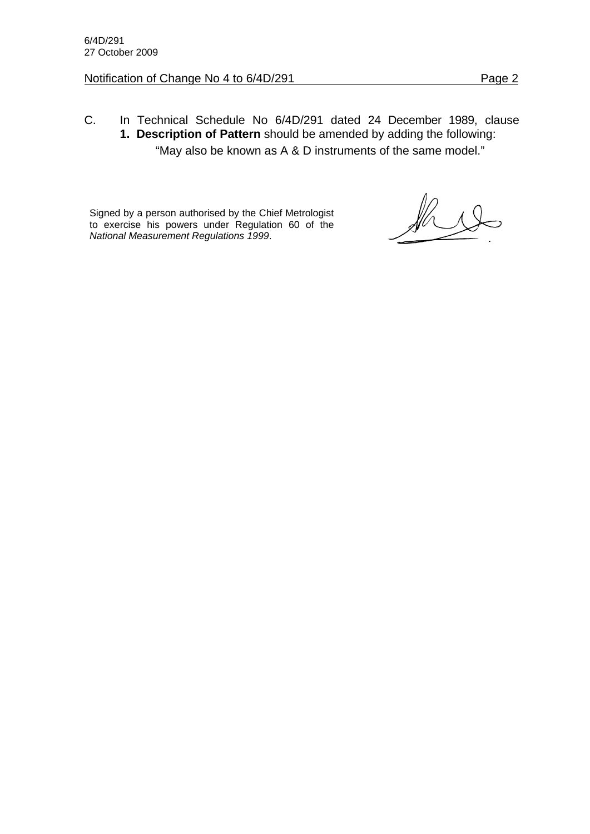#### Notification of Change No 4 to 6/4D/291 Page 2

## C. In Technical Schedule No 6/4D/291 dated 24 December 1989, clause **1. Description of Pattern** should be amended by adding the following:

"May also be known as A & D instruments of the same model."

Signed by a person authorised by the Chief Metrologist to exercise his powers under Regulation 60 of the *National Measurement Regulations 1999*.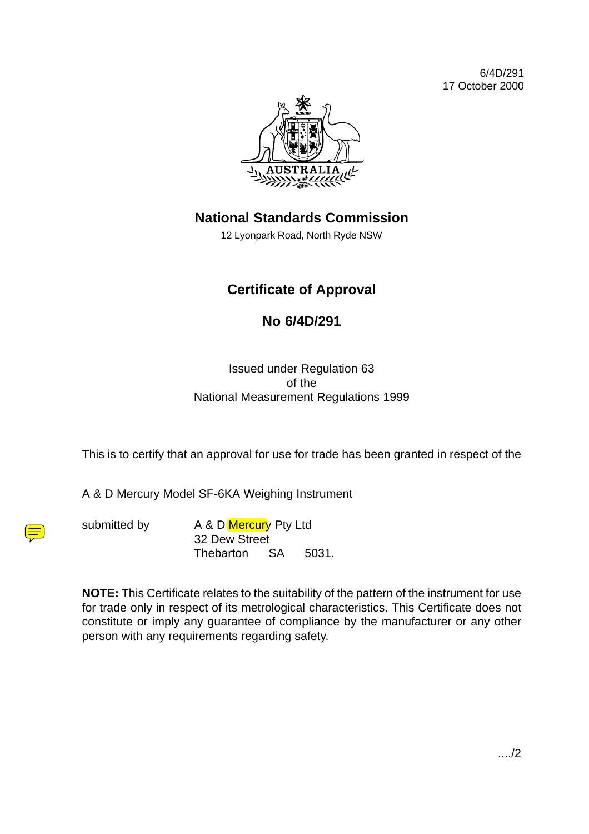6/4D/291 17 October 2000



## **National Standards Commission**

12 Lyonpark Road, North Ryde NSW

## **Certificate of Approval**

### **No 6/4D/291**

Issued under Regulation 63 of the National Measurement Regulations 1999

This is to certify that an approval for use for trade has been granted in respect of the

A & D Mercury Model SF-6KA Weighing Instrument

submitted by A & D Mercury Pty Ltd 32 Dew Street Thebarton SA 5031.

**NOTE:** This Certificate relates to the suitability of the pattern of the instrument for use for trade only in respect of its metrological characteristics. This Certificate does not constitute or imply any guarantee of compliance by the manufacturer or any other person with any requirements regarding safety.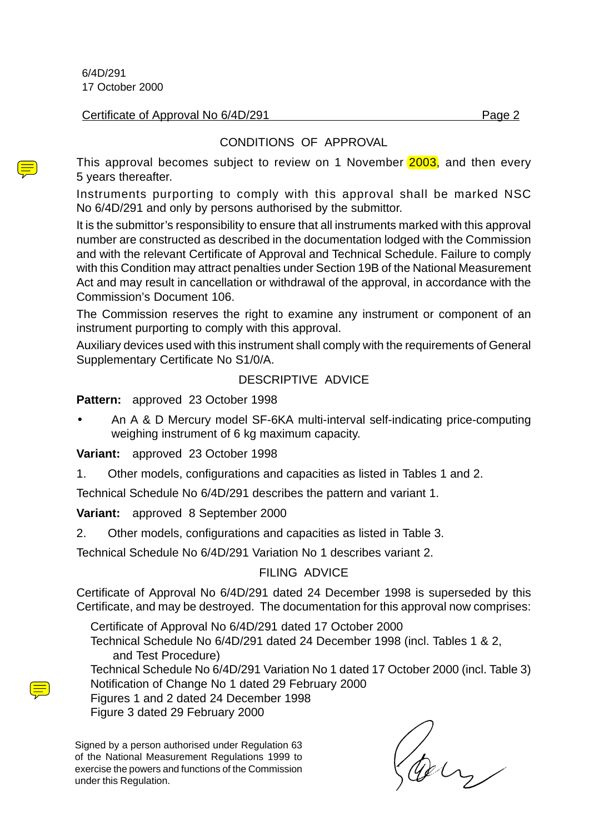6/4D/291 17 October 2000

Certificate of Approval No 6/4D/291 Page 2

#### CONDITIONS OF APPROVAL

This approval becomes subject to review on 1 November 2003, and then every 5 years thereafter.

Instruments purporting to comply with this approval shall be marked NSC No 6/4D/291 and only by persons authorised by the submittor.

It is the submittor's responsibility to ensure that all instruments marked with this approval number are constructed as described in the documentation lodged with the Commission and with the relevant Certificate of Approval and Technical Schedule. Failure to comply with this Condition may attract penalties under Section 19B of the National Measurement Act and may result in cancellation or withdrawal of the approval, in accordance with the Commission's Document 106.

The Commission reserves the right to examine any instrument or component of an instrument purporting to comply with this approval.

Auxiliary devices used with this instrument shall comply with the requirements of General Supplementary Certificate No S1/0/A.

#### DESCRIPTIVE ADVICE

**Pattern:** approved 23 October 1998

• An A & D Mercury model SF-6KA multi-interval self-indicating price-computing weighing instrument of 6 kg maximum capacity.

**Variant:** approved 23 October 1998

1. Other models, configurations and capacities as listed in Tables 1 and 2.

Technical Schedule No 6/4D/291 describes the pattern and variant 1.

**Variant:** approved 8 September 2000

2. Other models, configurations and capacities as listed in Table 3.

Technical Schedule No 6/4D/291 Variation No 1 describes variant 2.

#### FILING ADVICE

Certificate of Approval No 6/4D/291 dated 24 December 1998 is superseded by this Certificate, and may be destroyed. The documentation for this approval now comprises:

Certificate of Approval No 6/4D/291 dated 17 October 2000 Technical Schedule No 6/4D/291 dated 24 December 1998 (incl. Tables 1 & 2, and Test Procedure)

Technical Schedule No 6/4D/291 Variation No 1 dated 17 October 2000 (incl. Table 3) Notification of Change No 1 dated 29 February 2000

Figures 1 and 2 dated 24 December 1998 Figure 3 dated 29 February 2000

Signed by a person authorised under Regulation 63 of the National Measurement Regulations 1999 to exercise the powers and functions of the Commission under this Regulation.

Coly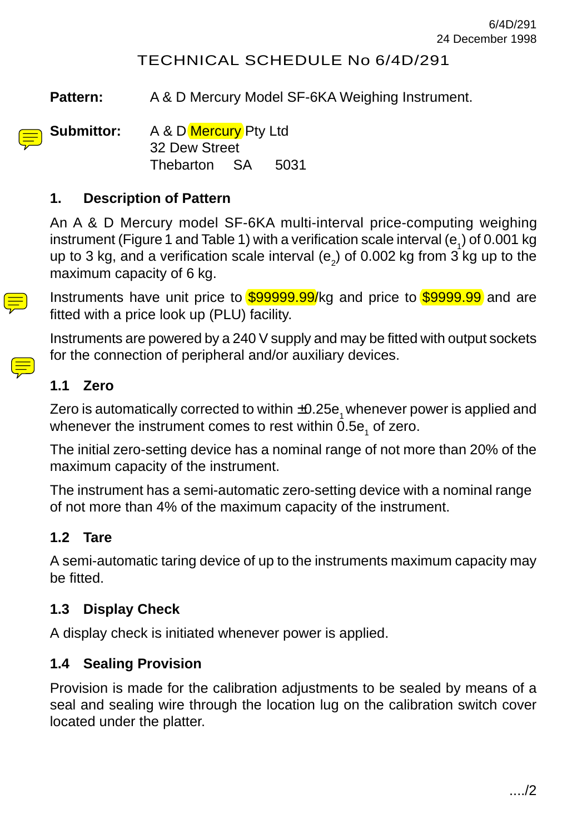#### TECHNICAL SCHEDULE No 6/4D/291

Pattern: A & D Mercury Model SF-6KA Weighing Instrument.

**Submittor:** A & D Mercury Pty Ltd 32 Dew Street Thebarton SA 5031

#### **1. Description of Pattern**

An A & D Mercury model SF-6KA multi-interval price-computing weighing instrument (Figure 1 and Table 1) with a verification scale interval (e<sub>1</sub>) of 0.001 kg up to 3 kg, and a verification scale interval (e $_{\textrm{\scriptsize{2}}}$ ) of 0.002 kg from 3 kg up to the maximum capacity of 6 kg.

Instruments have unit price to \$99999.99/kg and price to \$9999.99 and are fitted with a price look up (PLU) facility.

Instruments are powered by a 240 V supply and may be fitted with output sockets for the connection of peripheral and/or auxiliary devices.

#### **1.1 Zero**

Zero is automatically corrected to within  $\pm 0.25e_1$  whenever power is applied and whenever the instrument comes to rest within 0.5e<sub>1</sub> of zero.

The initial zero-setting device has a nominal range of not more than 20% of the maximum capacity of the instrument.

The instrument has a semi-automatic zero-setting device with a nominal range of not more than 4% of the maximum capacity of the instrument.

#### **1.2 Tare**

A semi-automatic taring device of up to the instruments maximum capacity may be fitted.

#### **1.3 Display Check**

A display check is initiated whenever power is applied.

#### **1.4 Sealing Provision**

Provision is made for the calibration adjustments to be sealed by means of a seal and sealing wire through the location lug on the calibration switch cover located under the platter.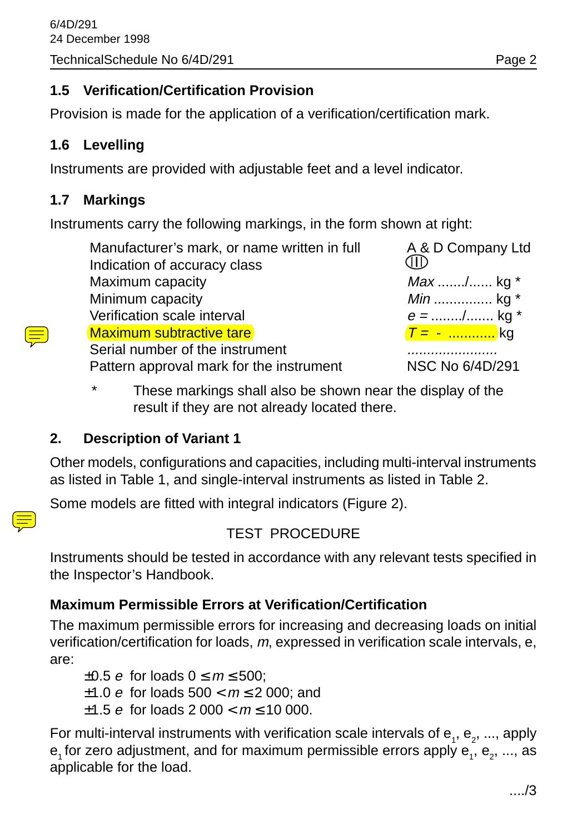#### **1.5 Verification/Certification Provision**

Provision is made for the application of a verification/certification mark.

#### **1.6 Levelling**

Instruments are provided with adjustable feet and a level indicator.

#### **1.7 Markings**

Instruments carry the following markings, in the form shown at right:

Manufacturer's mark, or name written in full A&D Company Ltd Indication of accuracy class Maximum capacity Max ....../....... kg \* Minimum capacity Min ............... kg \* Verification scale interval  $e =$  ......./........ kg \* Maximum subtractive tare T = - ............ kg Serial number of the instrument  $\mathbf{S}$ Pattern approval mark for the instrument NSC No 6/4D/291

MD

\* These markings shall also be shown near the display of the result if they are not already located there.

#### **2. Description of Variant 1**

Other models, configurations and capacities, including multi-interval instruments as listed in Table 1, and single-interval instruments as listed in Table 2.

Some models are fitted with integral indicators (Figure 2).



#### TEST PROCEDURE

Instruments should be tested in accordance with any relevant tests specified in the Inspector's Handbook.

#### **Maximum Permissible Errors at Verification/Certification**

The maximum permissible errors for increasing and decreasing loads on initial verification/certification for loads, m, expressed in verification scale intervals, e, are:

 $\pm 0.5$  e for loads  $0 \le m \le 500$ ; ±1.0 *e* for loads  $500 < m \le 2000$ : and  $\pm$ 1.5 e for loads 2 000 <  $m \le 10$  000.

For multi-interval instruments with verification scale intervals of  ${\sf e}_{_1},$   ${\sf e}_{_2},$  ..., apply  ${\sf e}_{\scriptscriptstyle 1}$ for zero adjustment, and for maximum permissible errors apply  ${\sf e}_{\scriptscriptstyle 1}^{} ,$   ${\sf e}_{\scriptscriptstyle 2}^{} ,$  ..., as applicable for the load.

..../3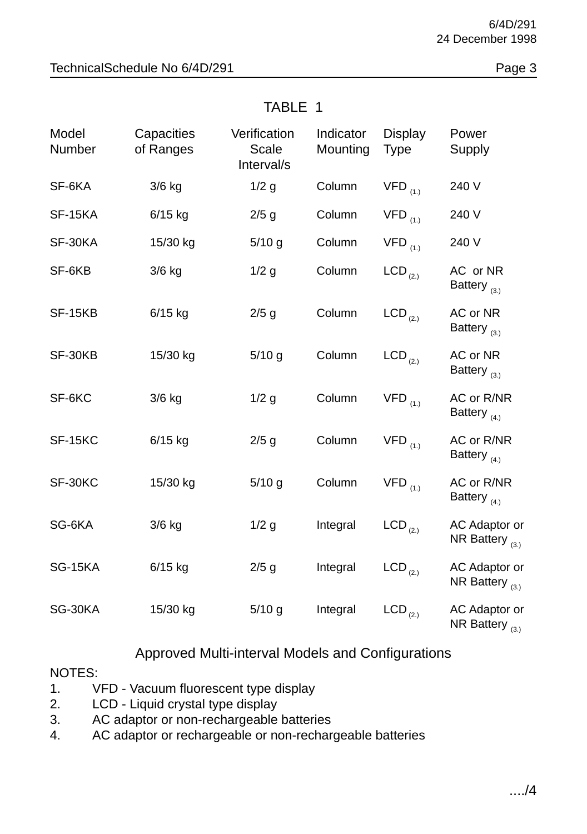| Model<br>Number | Capacities<br>of Ranges | Verification<br>Scale<br>Interval/s | Indicator<br>Mounting | Display<br><b>Type</b> | Power<br>Supply                              |
|-----------------|-------------------------|-------------------------------------|-----------------------|------------------------|----------------------------------------------|
| SF-6KA          | $3/6$ kg                | $1/2$ g                             | Column                | $VFD$ <sub>(1.)</sub>  | 240 V                                        |
| SF-15KA         | $6/15$ kg               | $2/5$ g                             | Column                | $VFD$ <sub>(1.)</sub>  | 240 V                                        |
| SF-30KA         | 15/30 kg                | $5/10$ g                            | Column                | $VFD$ <sub>(1.)</sub>  | 240 V                                        |
| SF-6KB          | $3/6$ kg                | $1/2$ g                             | Column                | $LCD_{(2.)}$           | AC or NR<br>Battery $_{(3.)}$                |
| SF-15KB         | $6/15$ kg               | $2/5$ g                             | Column                | $LCD_{(2.)}$           | AC or NR<br>Battery $_{(3.)}$                |
| SF-30KB         | 15/30 kg                | $5/10$ g                            | Column                | $LCD_{(2.)}$           | AC or NR<br>Battery $_{(3.)}$                |
| SF-6KC          | 3/6 kg                  | $1/2$ g                             | Column                | $VFD$ <sub>(1.)</sub>  | AC or R/NR<br>Battery $_{(4.)}$              |
| SF-15KC         | $6/15$ kg               | $2/5$ g                             | Column                | $VFD$ <sub>(1.)</sub>  | AC or R/NR<br>Battery $_{(4.)}$              |
| SF-30KC         | 15/30 kg                | $5/10$ g                            | Column                | $VFD$ <sub>(1.)</sub>  | AC or R/NR<br>Battery $_{(4.)}$              |
| SG-6KA          | $3/6$ kg                | $1/2$ g                             | Integral              | $LCD_{(2.)}$           | AC Adaptor or<br>NR Battery $_{(3.)}$        |
| SG-15KA         | $6/15$ kg               | $2/5$ g                             | Integral              | $LCD_{(2.)}$           | <b>AC Adaptor or</b><br>NR Battery $_{(3.)}$ |
| SG-30KA         | 15/30 kg                | $5/10$ g                            | Integral              | $LCD_{(2.)}$           | AC Adaptor or<br>NR Battery $_{(3.)}$        |

#### TABLE 1

#### Approved Multi-interval Models and Configurations

#### NOTES:

- 1. VFD Vacuum fluorescent type display
- 2. LCD Liquid crystal type display
- 3. AC adaptor or non-rechargeable batteries
- 4. AC adaptor or rechargeable or non-rechargeable batteries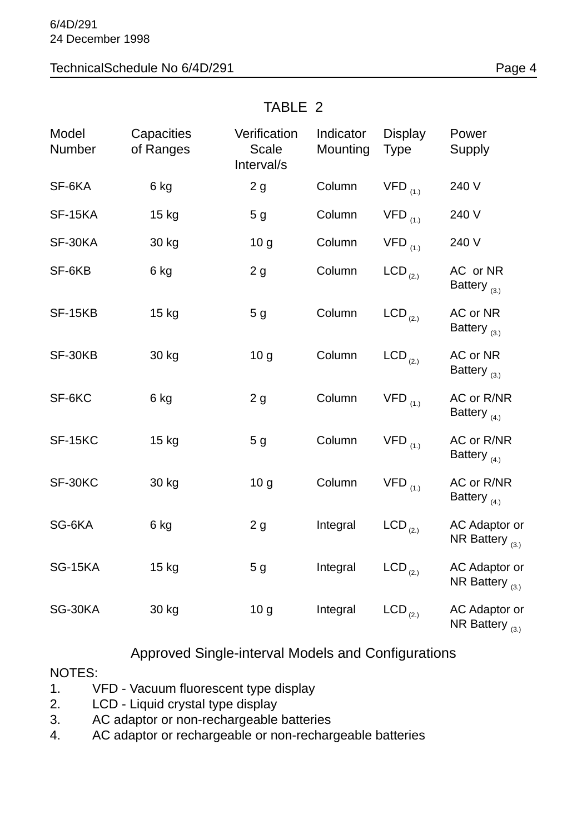#### TechnicalSchedule No 6/4D/291 Page 4

## Model Capacities Verification Indicator Display Power Number of Ranges Scale Mounting Type Supply Interval/s SF-6KA 6 kg 2 g Column VFD <sub>(1.)</sub> 240 V SF-15KA 15 kg 5 g Column VFD <sub>(1.)</sub> 240 V SF-30KA 30 kg 10 g Column VFD <sub>(1.)</sub> 240 V SF-6KB 6 kg 2 g Column LCD <sub>(2.)</sub> AC or NR Battery  $_{(3.)}$ SF-15KB 15 kg 5 g Column LCD <sub>(2.)</sub> AC or NR Battery  $_{(3)}$ SF-30KB 30 kg 10 g Column LCD <sub>(2.)</sub> AC or NR Battery  $_{(3,)}$ SF-6KC 6 kg 2 g Column VFD <sub>(1.)</sub> AC or R/NR Battery  $_{(4.)}$ SF-15KC 15 kg 5 g Column VFD <sub>(1.)</sub> AC or R/NR Battery  $_{(4,)}$ SF-30KC 30 kg 10 g Column VFD <sub>(1.)</sub> AC or R/NR Battery  $_{(4,)}$ SG-6KA 6 kg  $2 g$  Integral LCD  $_{(2)}$  AC Adaptor or NR Battery  $_{(3,)}$ SG-15KA 15 kg 5 g Integral  $LCD_{(2)}$  AC Adaptor or NR Battery  $_{(3,)}$ SG-30KA 30 kg  $10 g$  Integral LCD  $_{(2)}$  AC Adaptor or NR Battery  $_{(3,)}$

#### TABLE 2

#### Approved Single-interval Models and Configurations

#### NOTES:

- 1. VFD Vacuum fluorescent type display
- 2. LCD Liquid crystal type display
- 3. AC adaptor or non-rechargeable batteries
- 4. AC adaptor or rechargeable or non-rechargeable batteries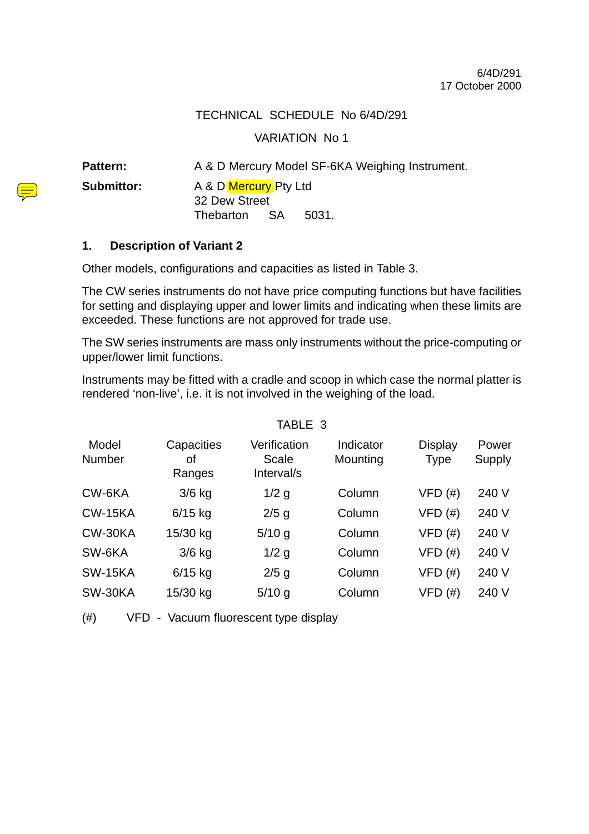#### TECHNICAL SCHEDULE No 6/4D/291

#### VARIATION No 1

Pattern: A & D Mercury Model SF-6KA Weighing Instrument.

**Submittor:** A & D Mercury Pty Ltd 32 Dew Street Thebarton SA 5031.

#### **1. Description of Variant 2**

Other models, configurations and capacities as listed in Table 3.

The CW series instruments do not have price computing functions but have facilities for setting and displaying upper and lower limits and indicating when these limits are exceeded. These functions are not approved for trade use.

The SW series instruments are mass only instruments without the price-computing or upper/lower limit functions.

Instruments may be fitted with a cradle and scoop in which case the normal platter is rendered 'non-live', i.e. it is not involved in the weighing of the load.

TABLE 3

| Model<br>Number | Capacities<br>οf<br>Ranges | Verification<br>Scale<br>Interval/s | Indicator<br>Mounting | Display<br><b>Type</b> | Power<br>Supply |
|-----------------|----------------------------|-------------------------------------|-----------------------|------------------------|-----------------|
| CW-6KA          | $3/6$ kg                   | $1/2$ g                             | Column                | $VFD$ $(\#)$           | 240 V           |
| <b>CW-15KA</b>  | $6/15$ kg                  | $2/5$ g                             | Column                | $VFD$ (#)              | 240 V           |
| CW-30KA         | 15/30 kg                   | $5/10$ g                            | Column                | $VFD$ (#)              | 240 V           |
| SW-6KA          | $3/6$ kg                   | $1/2$ g                             | Column                | $VFD$ $(#)$            | 240 V           |
| <b>SW-15KA</b>  | $6/15$ kg                  | $2/5$ g                             | Column                | $VFD$ $(#)$            | 240 V           |
| SW-30KA         | 15/30 kg                   | $5/10$ g                            | Column                | VFD(#)                 | 240 V           |

(#) VFD - Vacuum fluorescent type display

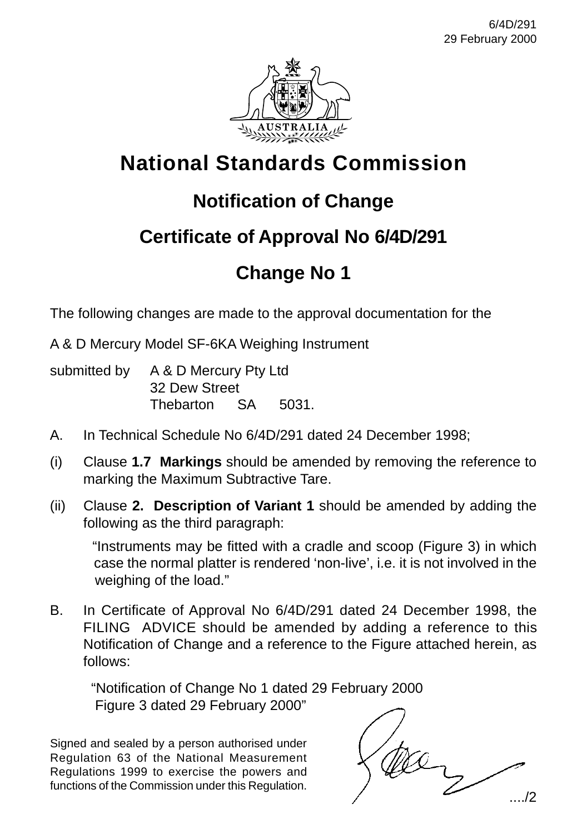

# **National Standards Commission**

# **Notification of Change**

# **Certificate of Approval No 6/4D/291**

# **Change No 1**

The following changes are made to the approval documentation for the

A & D Mercury Model SF-6KA Weighing Instrument

| submitted by A & D Mercury Pty Ltd |  |       |  |
|------------------------------------|--|-------|--|
| 32 Dew Street                      |  |       |  |
| Thebarton SA                       |  | 5031. |  |

- A. In Technical Schedule No 6/4D/291 dated 24 December 1998;
- (i) Clause **1.7 Markings** should be amended by removing the reference to marking the Maximum Subtractive Tare.
- (ii) Clause **2. Description of Variant 1** should be amended by adding the following as the third paragraph:

 "Instruments may be fitted with a cradle and scoop (Figure 3) in which case the normal platter is rendered 'non-live', i.e. it is not involved in the weighing of the load."

B. In Certificate of Approval No 6/4D/291 dated 24 December 1998, the FILING ADVICE should be amended by adding a reference to this Notification of Change and a reference to the Figure attached herein, as follows:

 "Notification of Change No 1 dated 29 February 2000 Figure 3 dated 29 February 2000"

Signed and sealed by a person authorised under Regulation 63 of the National Measurement Regulations 1999 to exercise the powers and functions of the Commission under this Regulation.

..../2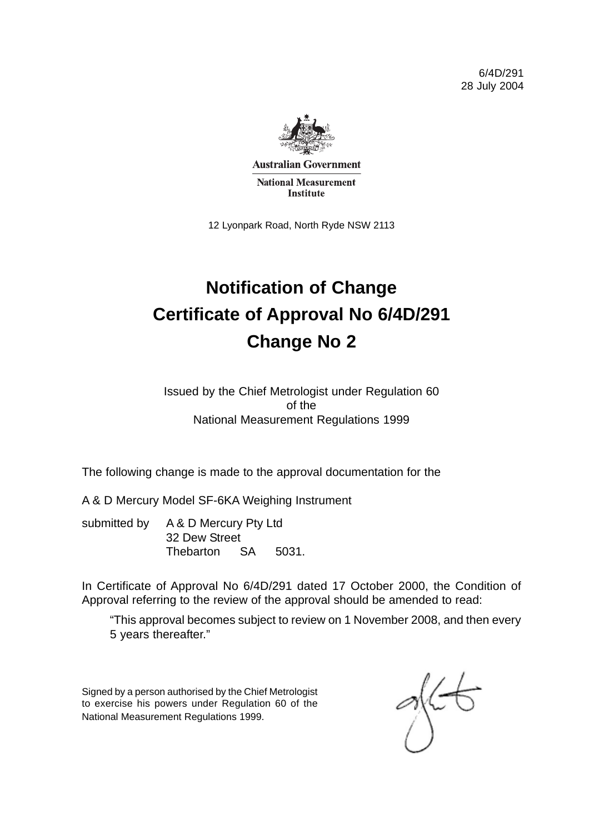6/4D/291 28 July 2004



**Australian Government National Measurement Institute** 

12 Lyonpark Road, North Ryde NSW 2113

# **Notification of Change Certificate of Approval No 6/4D/291 Change No 2**

Issued by the Chief Metrologist under Regulation 60 of the National Measurement Regulations 1999

The following change is made to the approval documentation for the

A & D Mercury Model SF-6KA Weighing Instrument

submitted by A & D Mercury Pty Ltd 32 Dew Street Thebarton SA 5031.

In Certificate of Approval No 6/4D/291 dated 17 October 2000, the Condition of Approval referring to the review of the approval should be amended to read:

"This approval becomes subject to review on 1 November 2008, and then every 5 years thereafter."

Signed by a person authorised by the Chief Metrologist to exercise his powers under Regulation 60 of the National Measurement Regulations 1999.

≪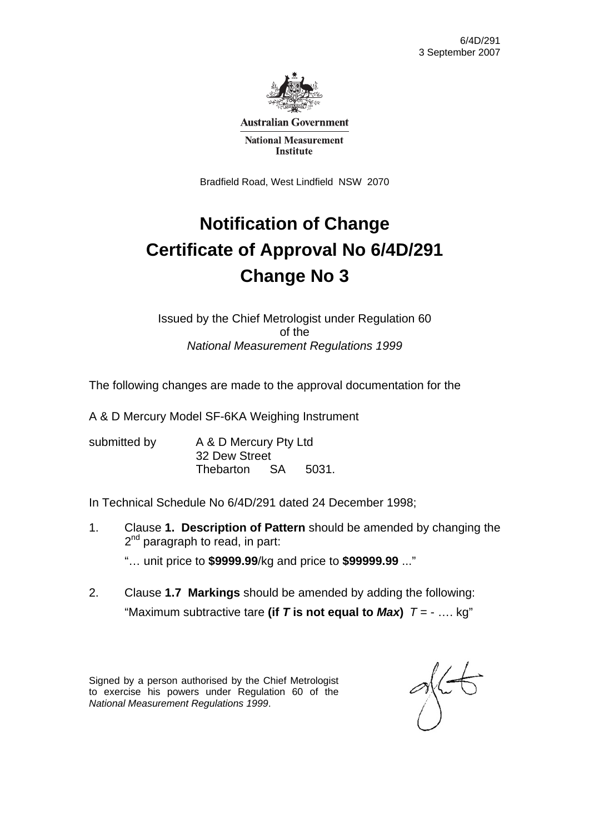

**Australian Government** 

**National Measurement Institute** 

Bradfield Road, West Lindfield NSW 2070

# **Notification of Change Certificate of Approval No 6/4D/291 Change No 3**

Issued by the Chief Metrologist under Regulation 60 of the *National Measurement Regulations 1999* 

The following changes are made to the approval documentation for the

A & D Mercury Model SF-6KA Weighing Instrument

submitted by A & D Mercury Pty Ltd 32 Dew Street Thebarton SA 5031.

In Technical Schedule No 6/4D/291 dated 24 December 1998;

- 1. Clause **1. Description of Pattern** should be amended by changing the 2<sup>nd</sup> paragraph to read, in part: "… unit price to **\$9999.99**/kg and price to **\$99999.99** ..."
- 2. Clause **1.7 Markings** should be amended by adding the following: "Maximum subtractive tare (if T is not equal to  $Max$ )  $T = - \dots$  kg"

Signed by a person authorised by the Chief Metrologist to exercise his powers under Regulation 60 of the *National Measurement Regulations 1999*.

 $\frac{1}{2}$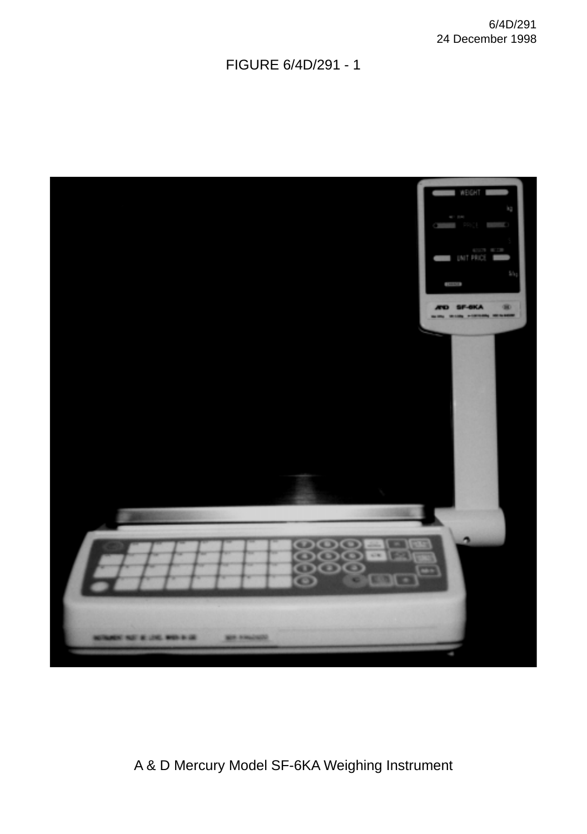### FIGURE 6/4D/291 - 1



### A & D Mercury Model SF-6KA Weighing Instrument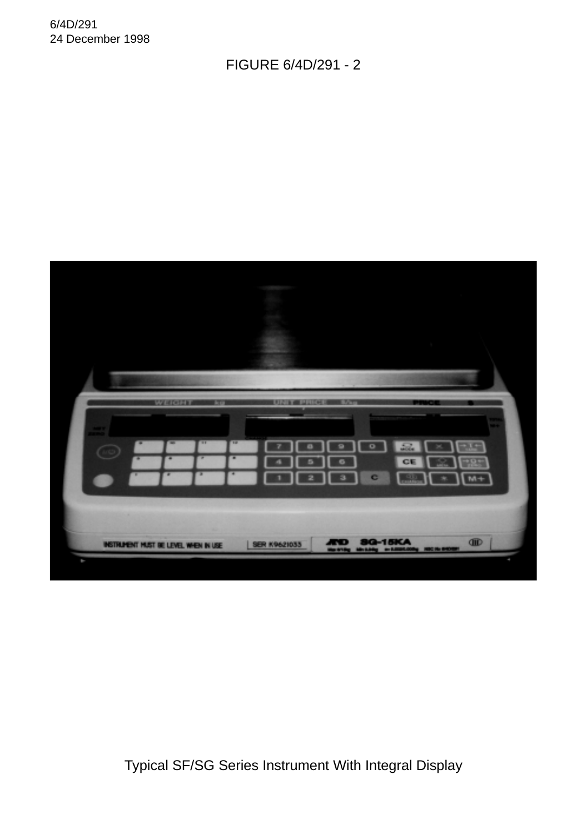#### FIGURE 6/4D/291 - 2



Typical SF/SG Series Instrument With Integral Display